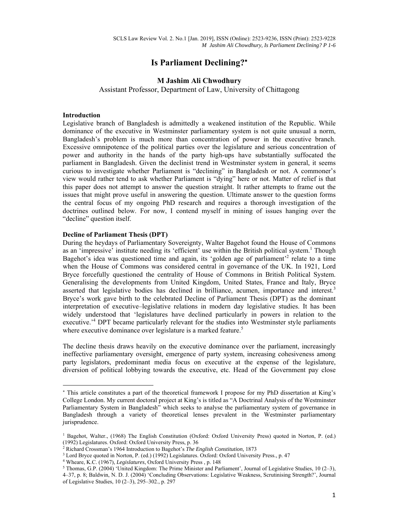# **Is Parliament Declining?**

## **M Jashim Ali Chwodhury**

Assistant Professor, Department of Law, University of Chittagong

#### **Introduction**

Legislative branch of Bangladesh is admittedly a weakened institution of the Republic. While dominance of the executive in Westminster parliamentary system is not quite unusual a norm, Bangladesh's problem is much more than concentration of power in the executive branch. Excessive omnipotence of the political parties over the legislature and serious concentration of power and authority in the hands of the party high-ups have substantially suffocated the parliament in Bangladesh. Given the declinist trend in Westminster system in general, it seems curious to investigate whether Parliament is "declining" in Bangladesh or not. A commoner's view would rather tend to ask whether Parliament is "dying" here or not. Matter of relief is that this paper does not attempt to answer the question straight. It rather attempts to frame out the issues that might prove useful in answering the question. Ultimate answer to the question forms the central focus of my ongoing PhD research and requires a thorough investigation of the doctrines outlined below. For now, I contend myself in mining of issues hanging over the "decline" question itself.

#### **Decline of Parliament Thesis (DPT)**

During the heydays of Parliamentary Sovereignty, Walter Bagehot found the House of Commons as an 'impressive' institute needing its 'efficient' use within the British political system.<sup>1</sup> Though Bagehot's idea was questioned time and again, its 'golden age of parliament<sup>22</sup> relate to a time when the House of Commons was considered central in governance of the UK. In 1921, Lord Bryce forcefully questioned the centrality of House of Commons in British Political System. Generalising the developments from United Kingdom, United States, France and Italy, Bryce asserted that legislative bodies has declined in brilliance, acumen, importance and interest.<sup>3</sup> Bryce's work gave birth to the celebrated Decline of Parliament Thesis (DPT) as the dominant interpretation of executive–legislative relations in modern day legislative studies. It has been widely understood that 'legislatures have declined particularly in powers in relation to the executive.<sup>4</sup> DPT became particularly relevant for the studies into Westminster style parliaments where executive dominance over legislature is a marked feature.<sup>5</sup>

The decline thesis draws heavily on the executive dominance over the parliament, increasingly ineffective parliamentary oversight, emergence of party system, increasing cohesiveness among party legislators, predominant media focus on executive at the expense of the legislature, diversion of political lobbying towards the executive, etc. Head of the Government pay close

 This article constitutes a part of the theoretical framework I propose for my PhD dissertation at King's College London. My current doctoral project at King's is titled as "A Doctrinal Analysis of the Westminster Parliamentary System in Bangladesh" which seeks to analyse the parliamentary system of governance in Bangladesh through a variety of theoretical lenses prevalent in the Westminster parliamentary jurisprudence.

<sup>&</sup>lt;sup>1</sup> Bagehot, Walter., (1968) The English Constitution (Oxford: Oxford University Press) quoted in Norton, P. (ed.) (1992) Legislatures. Oxford: Oxford University Press, p. 36

<sup>&</sup>lt;sup>2</sup> Richard Crossman's 1964 Introduction to Bagehot's *The English Constitution*, 1873<br><sup>3</sup> Lord Bryce quoted in Norton, P. (ed.) (1992) Legislatures, Oxford: Oxford Universit

<sup>&</sup>lt;sup>3</sup> Lord Bryce quoted in Norton, P. (ed.) (1992) Legislatures. Oxford: Oxford University Press., p. 47  $4$  Wheare, K.C. (1967), *Legislatures*, Oxford University Press , p. 148

<sup>&</sup>lt;sup>5</sup> Thomas, G.P. (2004) 'United Kingdom: The Prime Minister and Parliament', Journal of Legislative Studies, 10 (2–3), 4–37, p. 8; Baldwin, N. D. J. (2004) 'Concluding Observations: Legislative Weakness, Scrutinising Strength?', Journal of Legislative Studies, 10 (2–3), 295–302., p. 297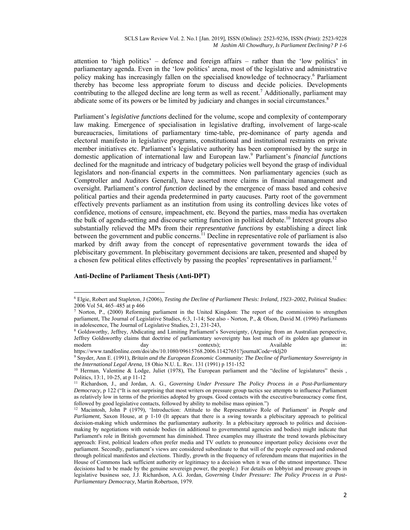attention to 'high politics' – defence and foreign affairs – rather than the 'low politics' in parliamentary agenda. Even in the 'low politics' arena, most of the legislative and administrative policy making has increasingly fallen on the specialised knowledge of technocracy.<sup>6</sup> Parliament thereby has become less appropriate forum to discuss and decide policies. Developments contributing to the alleged decline are long term as well as recent.<sup>7</sup> Additionally, parliament may abdicate some of its powers or be limited by judiciary and changes in social circumstances.<sup>8</sup>

Parliament's *legislative functions* declined for the volume, scope and complexity of contemporary law making. Emergence of specialisation in legislative drafting, involvement of large-scale bureaucracies, limitations of parliamentary time-table, pre-dominance of party agenda and electoral manifesto in legislative programs, constitutional and institutional restraints on private member initiatives etc. Parliament's legislative authority has been compromised by the surge in domestic application of international law and European law.9 Parliament's *financial functions* declined for the magnitude and intricacy of budgetary policies well beyond the grasp of individual legislators and non-financial experts in the committees. Non parliamentary agencies (such as Comptroller and Auditors General), have asserted more claims in financial management and oversight. Parliament's *control function* declined by the emergence of mass based and cohesive political parties and their agenda predetermined in party caucuses. Party root of the government effectively prevents parliament as an institution from using its controlling devices like votes of confidence, motions of censure, impeachment, etc. Beyond the parties, mass media has overtaken the bulk of agenda-setting and discourse setting function in political debate.10 Interest groups also substantially relieved the MPs from their *representative functions* by establishing a direct link between the government and public concerns.<sup>11</sup> Decline in representative role of parliament is also marked by drift away from the concept of representative government towards the idea of plebiscitary government. In plebiscitary government decisions are taken, presented and shaped by a chosen few political elites effectively by passing the peoples' representatives in parliament.<sup>12</sup>

## **Anti-Decline of Parliament Thesis (Anti-DPT)**

<sup>6</sup> Elgie, Robert and Stapleton, J (2006), *Testing the Decline of Parliament Thesis: Ireland, 1923–2002*, Political Studies: 2006 Vol 54, 465–485 at p 466<br><sup>7</sup> Norton, P., (2000) Reforming parliament in the United Kingdom: The report of the commission to strengthen

parliament, The Journal of Legislative Studies, 6:3, 1-14; See also - Norton, P., & Olson, David M. (1996) Parliaments in adolescence, The Journal of Legislative Studies, 2:1, 231-243,

Goldsworthy, Jeffrey, Abdicating and Limiting Parliament's Sovereignty, (Arguing from an Australian perspective, Jeffrey Goldsworthy claims that doctrine of parliamentary sovereignty has lost much of its golden age glamour in modern day day contexts); Available in:

https://www.tandfonline.com/doi/abs/10.1080/09615768.2006.11427651?journalCode=rklj20<br><sup>9</sup> Snyder, Ann E. (1991), *Britain and the European Economic Community: The Decline of Parliamentary Sovereignty in the International Legal Arena*, 18 Ohio N.U. L. Rev. 131 (1991) p 151-152<br><sup>10</sup> Herman, Valentine & Lodge, Juliet (1978), The European parliament and the "decline of legislatures" thesis,

Politics, 13:1, 10-25, at p 11-12

<sup>11</sup> Richardson, J., and Jordan, A. G., *Governing Under Pressure The Policy Process in a Post-Parliamentary Democracy,* p 122 ("It is not surprising that most writers on pressure group tactics see attempts to influence Parliament as relatively low in terms of the priorities adopted by groups. Good contacts with the executive/bureaucracy come first, followed by good legislative contacts, followed by ability to mobilise mass opinion.") 12 Macintosh, John P (1979), 'Introduction: Attitude to the Representative Role of Parliament' in *People and* 

*Parliament*, Saxon House, at p 1-10 (It appears that there is a swing towards a plebiscitary approach to political decision-making which undermines the parliamentary authority. In a plebiscitary approach to politics and decisionmaking by negotiations with outside bodies (in additional to governmental agencies and bodies) might indicate that Parliament's role in British government has diminished. Three examples may illustrate the trend towards plebiscitary approach: First, political leaders often prefer media and TV outlets to pronounce important policy decisions over the parliament. Secondly, parliament's views are considered subordinate to that will of the people expressed and endorsed through political manifestos and elections. Thirdly, growth in the frequency of referendum means that majorities in the House of Commons lack sufficient authority or legitimacy to a decision when it was of the utmost importance. These decisions had to be made by the genuine sovereign power, the people.) For details on lobbyist and pressure groups in legislative business see, J.J. Richardson, A.G. Jordan, *Governing Under Pressure: The Policy Process in a Post-Parliamentary Democracy*, Martin Robertson, 1979.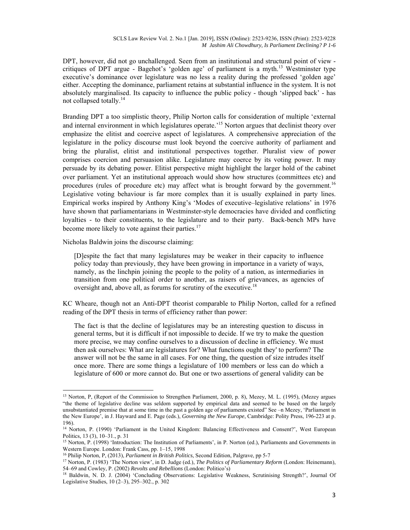DPT, however, did not go unchallenged. Seen from an institutional and structural point of view critiques of DPT argue - Bagehot's 'golden age' of parliament is a myth.<sup>13</sup> Westminster type executive's dominance over legislature was no less a reality during the professed 'golden age' either. Accepting the dominance, parliament retains at substantial influence in the system. It is not absolutely marginalised. Its capacity to influence the public policy - though 'slipped back' - has not collapsed totally.<sup>14</sup>

Branding DPT a too simplistic theory, Philip Norton calls for consideration of multiple 'external and internal environment in which legislatures operate.<sup>15</sup> Norton argues that declinist theory over emphasize the elitist and coercive aspect of legislatures. A comprehensive appreciation of the legislature in the policy discourse must look beyond the coercive authority of parliament and bring the pluralist, elitist and institutional perspectives together. Pluralist view of power comprises coercion and persuasion alike. Legislature may coerce by its voting power. It may persuade by its debating power. Elitist perspective might highlight the larger hold of the cabinet over parliament. Yet an institutional approach would show how structures (committees etc) and procedures (rules of procedure etc) may affect what is brought forward by the government.<sup>16</sup> Legislative voting behaviour is far more complex than it is usually explained in party lines. Empirical works inspired by Anthony King's 'Modes of executive–legislative relations' in 1976 have shown that parliamentarians in Westminster-style democracies have divided and conflicting loyalties - to their constituents, to the legislature and to their party. Back-bench MPs have become more likely to vote against their parties.<sup>17</sup>

Nicholas Baldwin joins the discourse claiming:

[D]espite the fact that many legislatures may be weaker in their capacity to influence policy today than previously, they have been growing in importance in a variety of ways, namely, as the linchpin joining the people to the polity of a nation, as intermediaries in transition from one political order to another, as raisers of grievances, as agencies of oversight and, above all, as forums for scrutiny of the executive.<sup>18</sup>

KC Wheare, though not an Anti-DPT theorist comparable to Philip Norton, called for a refined reading of the DPT thesis in terms of efficiency rather than power:

The fact is that the decline of legislatures may be an interesting question to discuss in general terms, but it is difficult if not impossible to decide. If we try to make the question more precise, we may confine ourselves to a discussion of decline in efficiency. We must then ask ourselves: What are legislatures for? What functions ought they' to perform? The answer will not be the same in all cases. For one thing, the question of size intrudes itself once more. There are some things a legislature of 100 members or less can do which a legislature of 600 or more cannot do. But one or two assertions of general validity can be

<sup>&</sup>lt;sup>13</sup> Norton, P, (Report of the Commission to Strengthen Parliament, 2000, p. 8), Mezey, M. L. (1995), (Mezey argues "the theme of legislative decline was seldom supported by empirical data and seemed to be based on the largely unsubstantiated premise that at some time in the past a golden age of parliaments existed" See –n Mezey, 'Parliament in the New Europe', in J. Hayward and E. Page (eds.), *Governing the New Europe*, Cambridge: Polity Press, 196-223 at p. 196).

<sup>14</sup> Norton, P. (1990) 'Parliament in the United Kingdom: Balancing Effectiveness and Consent?', West European Politics, 13 (3), 10–31., p. 31

<sup>&</sup>lt;sup>15</sup> Norton, P. (1998) 'Introduction: The Institution of Parliaments', in P. Norton (ed.), Parliaments and Governments in Western Europe. London: Frank Cass, pp. 1–15, 1998

<sup>&</sup>lt;sup>16</sup> Philip Norton, P, (2013), *Parliament in British Politics*, Second Edition, Palgrave, pp 5-7<br><sup>17</sup> Norton, P. (1983) 'The Norton view', in D. Judge (ed.), *The Politics of Parliamentary Reform* (London: Heinemann),<br>54–

<sup>&</sup>lt;sup>18</sup> Baldwin, N. D. J. (2004) 'Concluding Observations: Legislative Weakness, Scrutinising Strength?', Journal Of Legislative Studies, 10 (2–3), 295–302., p. 302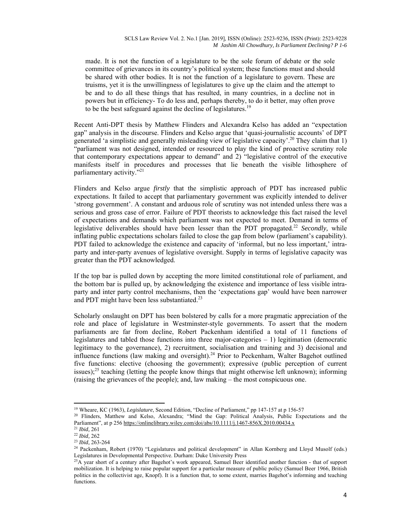made. It is not the function of a legislature to be the sole forum of debate or the sole committee of grievances in its country's political system; these functions must and should be shared with other bodies. It is not the function of a legislature to govern. These are truisms, yet it is the unwillingness of legislatures to give up the claim and the attempt to be and to do all these things that has resulted, in many countries, in a decline not in powers but in efficiency- To do less and, perhaps thereby, to do it better, may often prove to be the best safeguard against the decline of legislatures.<sup>19</sup>

Recent Anti-DPT thesis by Matthew Flinders and Alexandra Kelso has added an "expectation gap" analysis in the discourse. Flinders and Kelso argue that 'quasi-journalistic accounts' of DPT generated 'a simplistic and generally misleading view of legislative capacity'.<sup>20</sup> They claim that 1) "parliament was not designed, intended or resourced to play the kind of proactive scrutiny role that contemporary expectations appear to demand" and 2) "legislative control of the executive manifests itself in procedures and processes that lie beneath the visible lithosphere of parliamentary activity."<sup>21</sup>

Flinders and Kelso argue *firstly* that the simplistic approach of PDT has increased public expectations. It failed to accept that parliamentary government was explicitly intended to deliver 'strong government'. A constant and arduous role of scrutiny was not intended unless there was a serious and gross case of error. Failure of PDT theorists to acknowledge this fact raised the level of expectations and demands which parliament was not expected to meet. Demand in terms of legislative deliverables should have been lesser than the PDT propagated.<sup>22</sup> *Secondly*, while inflating public expectations scholars failed to close the gap from below (parliament's capability). PDT failed to acknowledge the existence and capacity of 'informal, but no less important,' intraparty and inter-party avenues of legislative oversight. Supply in terms of legislative capacity was greater than the PDT acknowledged.

If the top bar is pulled down by accepting the more limited constitutional role of parliament, and the bottom bar is pulled up, by acknowledging the existence and importance of less visible intraparty and inter party control mechanisms, then the 'expectations gap' would have been narrower and PDT might have been less substantiated.<sup>23</sup>

Scholarly onslaught on DPT has been bolstered by calls for a more pragmatic appreciation of the role and place of legislature in Westminster-style governments. To assert that the modern parliaments are far from decline, Robert Packenham identified a total of 11 functions of legislatures and tabled those functions into three major-categories – 1) legitimation (democratic legitimacy to the governance), 2) recruitment, socialisation and training and 3) decisional and influence functions (law making and oversight).<sup>24</sup> Prior to Peckenham, Walter Bagehot outlined five functions: elective (choosing the government); expressive (public perception of current issues); $^{25}$  teaching (letting the people know things that might otherwise left unknown); informing (raising the grievances of the people); and, law making – the most conspicuous one.

<sup>&</sup>lt;sup>19</sup> Wheare, KC (1963), *Legislature*, Second Edition, "Decline of Parliament," pp 147-157 at p 156-57 <sup>20</sup> Flinders, Matthew and Kelso, Alexandra; "Mind the Gap: Political Analysis, Public Expectations and the Parliament", at p 256 <u>https://onlinelibrary.wiley.com/doi/abs/10.1111/j.1467-856X.2010.00434.x<br>
<sup>21</sup> Ibid, 261<br>
<sup>22</sup> Ibid, 262<br>
<sup>23</sup> Ibid, 263-264<br>
<sup>24</sup> Packenham, Robert (1970) "Legislatures and political development" i</u>

Legislatures in Developmental Perspective. Durham: Duke University Press<br><sup>25</sup>A year short of a century after Bagehot's work appeared, Samuel Beer identified another function - that of support

mobilization. It is helping to raise popular support for a particular measure of public policy (Samuel Beer 1966, British politics in the collectivist age, Knopf). It is a function that, to some extent, marries Bagehot's informing and teaching functions.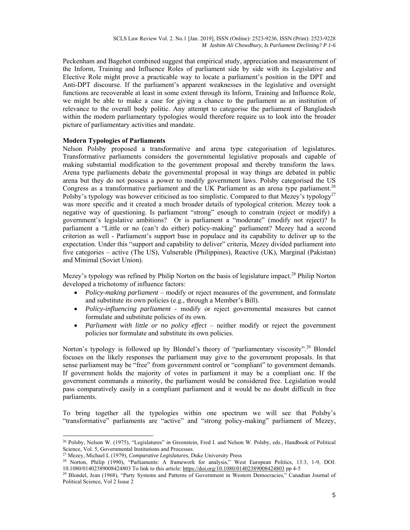Peckenham and Bagehot combined suggest that empirical study, appreciation and measurement of the Inform, Training and Influence Roles of parliament side by side with its Legislative and Elective Role might prove a practicable way to locate a parliament's position in the DPT and Anti-DPT discourse. If the parliament's apparent weaknesses in the legislative and oversight functions are recoverable at least in some extent through its Inform, Training and Influence Role, we might be able to make a case for giving a chance to the parliament as an institution of relevance to the overall body politic. Any attempt to categorise the parliament of Bangladesh within the modern parliamentary typologies would therefore require us to look into the broader picture of parliamentary activities and mandate.

## **Modern Typologies of Parliaments**

Nelson Polsby proposed a transformative and arena type categorisation of legislatures. Transformative parliaments considers the governmental legislative proposals and capable of making substantial modification to the government proposal and thereby transform the laws. Arena type parliaments debate the governmental proposal in way things are debated in public arena but they do not possess a power to modify government laws. Polsby categorised the US Congress as a transformative parliament and the UK Parliament as an arena type parliament.<sup>26</sup> Polsby's typology was however criticised as too simplistic. Compared to that Mezey's typology<sup>27</sup> was more specific and it created a much broader details of typological criterion. Mezey took a negative way of questioning. Is parliament "strong" enough to constrain (reject or modify) a government's legislative ambitions? Or is parliament a "moderate" (modify not reject)? Is parliament a "Little or no (can't do either) policy-making" parliament? Mezey had a second criterion as well - Parliament's support base in populace and its capability to deliver up to the expectation. Under this "support and capability to deliver" criteria, Mezey divided parliament into five categories – active (The US), Vulnerable (Philippines), Reactive (UK), Marginal (Pakistan) and Minimal (Soviet Union).

Mezey's typology was refined by Philip Norton on the basis of legislature impact.<sup>28</sup> Philip Norton developed a trichotomy of influence factors:

- *Policy-making parliament* modify or reject measures of the government, and formulate and substitute its own policies (e.g., through a Member's Bill).
- *Policy-influencing parliament* modify or reject governmental measures but cannot formulate and substitute policies of its own.
- *Parliament with little or no policy effect* neither modify or reject the government policies nor formulate and substitute its own policies.

Norton's typology is followed up by Blondel's theory of "parliamentary viscosity".<sup>29</sup> Blondel focuses on the likely responses the parliament may give to the government proposals. In that sense parliament may be "free" from government control or "compliant" to government demands. If government holds the majority of votes in parliament it may be a compliant one. If the government commands a minority, the parliament would be considered free. Legislation would pass comparatively easily in a compliant parliament and it would be no doubt difficult in free parliaments.

To bring together all the typologies within one spectrum we will see that Polsby's "transformative" parliaments are "active" and "strong policy-making" parliament of Mezey,

  $^{26}$  Polsby, Nelson W. (1975), "Legislatures" in Greenstein, Fred I. and Nelson W. Polsby, eds., Handbook of Political Science, Vol. 5, Governmental Institutions and Processes.

<sup>&</sup>lt;sup>27</sup> Mezey, Michael L (1979), *Comparative Legislatures*, Duke University Press<br><sup>28</sup> Norton, Philip (1990), "Parliaments: A framework for analysis," West European Politics, 13:3, 1-9, DOI:<br>10.1080/01402389008424803 To lin

<sup>&</sup>lt;sup>29</sup> Blondel, Jean (1968), "Party Systems and Patterns of Government in Western Democracies," Canadian Journal of Political Science, Vol 2 Issue 2